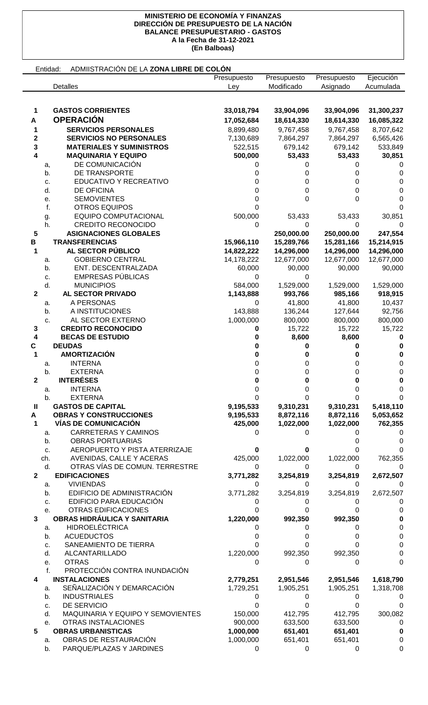## **MINISTERIO DE ECONOMÍA Y FINANZAS DIRECCIÓN DE PRESUPUESTO DE LA NACIÓN BALANCE PRESUPUESTARIO - GASTOS A la Fecha de 31-12-2021 (En Balboas)**

## Entidad: ADMIISTRACIÓN DE LA **ZONA LIBRE DE COLÓN**

|              |                                         | Presupuesto | Presupuesto | Presupuesto | Ejecución  |
|--------------|-----------------------------------------|-------------|-------------|-------------|------------|
|              | <b>Detalles</b>                         | Ley         | Modificado  | Asignado    | Acumulada  |
|              |                                         |             |             |             |            |
|              |                                         |             |             |             |            |
| 1            | <b>GASTOS CORRIENTES</b>                | 33,018,794  | 33,904,096  | 33,904,096  | 31,300,237 |
| А            | <b>OPERACIÓN</b>                        | 17,052,684  | 18,614,330  | 18,614,330  | 16,085,322 |
| 1            | <b>SERVICIOS PERSONALES</b>             | 8,899,480   | 9,767,458   | 9,767,458   | 8,707,642  |
| 2            | <b>SERVICIOS NO PERSONALES</b>          | 7,130,689   | 7,864,297   | 7,864,297   | 6,565,426  |
| 3            | <b>MATERIALES Y SUMINISTROS</b>         | 522,515     | 679,142     | 679,142     | 533,849    |
| 4            | <b>MAQUINARIA Y EQUIPO</b>              | 500,000     |             |             |            |
|              |                                         |             | 53,433      | 53,433      | 30,851     |
|              | DE COMUNICACIÓN<br>a,                   | 0           | 0           | 0           | 0          |
|              | DE TRANSPORTE<br>b.                     | 0           | 0           | 0           | 0          |
|              | EDUCATIVO Y RECREATIVO<br>c.            | 0           | 0           | 0           | 0          |
|              | d.<br><b>DE OFICINA</b>                 | 0           | 0           | 0           | 0          |
|              | <b>SEMOVIENTES</b><br>е.                | 0           | 0           | 0           | 0          |
|              | f <sub>r</sub><br><b>OTROS EQUIPOS</b>  | 0           |             |             | 0          |
|              | <b>EQUIPO COMPUTACIONAL</b><br>g.       | 500,000     | 53,433      | 53,433      | 30,851     |
|              | h.<br><b>CREDITO RECONOCIDO</b>         | 0           | 0           | 0           | 0          |
| 5            | <b>ASIGNACIONES GLOBALES</b>            |             | 250,000.00  | 250,000.00  | 247,554    |
| В            | <b>TRANSFERENCIAS</b>                   | 15,966,110  | 15,289,766  | 15,281,166  | 15,214,915 |
| 1            | AL SECTOR PÚBLICO                       | 14,822,222  | 14,296,000  | 14,296,000  | 14,296,000 |
|              | <b>GOBIERNO CENTRAL</b><br>a.           | 14,178,222  | 12,677,000  | 12,677,000  | 12,677,000 |
|              | ENT. DESCENTRALZADA<br>b.               | 60,000      | 90,000      | 90,000      | 90,000     |
|              | <b>EMPRESAS PÚBLICAS</b><br>C.          | 0           | 0           |             |            |
|              | d.<br><b>MUNICIPIOS</b>                 | 584,000     | 1,529,000   | 1,529,000   | 1,529,000  |
| $\mathbf{2}$ | <b>AL SECTOR PRIVADO</b>                | 1,143,888   | 993,766     | 985,166     | 918,915    |
|              | A PERSONAS<br>a.                        | 0           | 41,800      | 41,800      | 10,437     |
|              | A INSTITUCIONES                         | 143,888     |             | 127,644     |            |
|              | b.                                      |             | 136,244     |             | 92,756     |
|              | AL SECTOR EXTERNO<br>c.                 | 1,000,000   | 800,000     | 800,000     | 800,000    |
| 3            | <b>CREDITO RECONOCIDO</b>               | 0           | 15,722      | 15,722      | 15,722     |
| 4            | <b>BECAS DE ESTUDIO</b>                 | 0           | 8,600       | 8,600       | 0          |
| C            | <b>DEUDAS</b>                           | 0           | 0           | 0           | 0          |
| 1            | <b>AMORTIZACIÓN</b>                     | 0           | 0           | 0           | 0          |
|              | <b>INTERNA</b><br>a.                    | 0           | 0           | 0           | 0          |
|              | <b>EXTERNA</b><br>b.                    | 0           | 0           | 0           | 0          |
| $\mathbf{2}$ | <b>INTERÉSES</b>                        | 0           | 0           | 0           | 0          |
|              | <b>INTERNA</b><br>a.                    |             |             |             |            |
|              | <b>EXTERNA</b><br>b.                    |             | 0           | 0           |            |
| Ш            | <b>GASTOS DE CAPITAL</b>                | 9,195,533   | 9,310,231   | 9,310,231   | 5,418,110  |
| A            | <b>OBRAS Y CONSTRUCCIONES</b>           | 9,195,533   | 8,872,116   | 8,872,116   | 5,053,652  |
| 1            | <b>VÍAS DE COMUNICACIÓN</b>             | 425,000     | 1,022,000   | 1,022,000   | 762,355    |
|              | <b>CARRETERAS Y CAMINOS</b><br>a.       | 0           | 0           | 0           |            |
|              | <b>OBRAS PORTUARIAS</b><br>b.           |             |             |             |            |
|              | AEROPUERTO Y PISTA ATERRIZAJE<br>C.     | 0           | 0           |             |            |
|              | AVENIDAS, CALLE Y ACERAS<br>ch.         | 425,000     | 1,022,000   | 1,022,000   | 762,355    |
|              | OTRAS VÍAS DE COMUN. TERRESTRE<br>d.    | 0           | 0           | 0           | 0          |
| $\mathbf{2}$ | <b>EDIFICACIONES</b>                    | 3,771,282   | 3,254,819   | 3,254,819   | 2,672,507  |
|              | <b>VIVIENDAS</b><br>a.                  | 0           | 0           | 0           | 0          |
|              | EDIFICIO DE ADMINISTRACIÓN<br>b.        | 3,771,282   | 3,254,819   | 3,254,819   | 2,672,507  |
|              | EDIFICIO PARA EDUCACIÓN<br>C.           | 0           | 0           | 0           |            |
|              | <b>OTRAS EDIFICACIONES</b>              | $\Omega$    | $\Omega$    |             |            |
|              | е.                                      |             |             | 0           | O          |
| 3            | OBRAS HIDRÁULICA Y SANITARIA            | 1,220,000   | 992,350     | 992,350     |            |
|              | <b>HIDROELÉCTRICA</b><br>a.             | 0           | 0           | 0           |            |
|              | <b>ACUEDUCTOS</b><br>b.                 | 0           | 0           | 0           | O          |
|              | SANEAMIENTO DE TIERRA<br>C.             | 0           | 0           | 0           | 0          |
|              | ALCANTARILLADO<br>d.                    | 1,220,000   | 992,350     | 992,350     | 0          |
|              | <b>OTRAS</b><br>е.                      | 0           | 0           | 0           | 0          |
|              | PROTECCIÓN CONTRA INUNDACIÓN<br>f.      |             |             |             |            |
| 4            | <b>INSTALACIONES</b>                    | 2,779,251   | 2,951,546   | 2,951,546   | 1,618,790  |
|              | SEÑALIZACIÓN Y DEMARCACIÓN<br>a.        | 1,729,251   | 1,905,251   | 1,905,251   | 1,318,708  |
|              | <b>INDUSTRIALES</b><br>b.               | ∩           | 0           | 0           |            |
|              | DE SERVICIO<br>c.                       |             | 0           | 0           |            |
|              | MAQUINARIA Y EQUIPO Y SEMOVIENTES<br>d. | 150,000     | 412,795     | 412,795     | 300,082    |
|              | OTRAS INSTALACIONES<br>е.               | 900,000     | 633,500     | 633,500     | 0          |
| 5            | <b>OBRAS URBANISTICAS</b>               | 1,000,000   | 651,401     | 651,401     | O          |
|              | OBRAS DE RESTAURACIÓN<br>a.             | 1,000,000   | 651,401     | 651,401     |            |
|              | PARQUE/PLAZAS Y JARDINES<br>b.          | 0           | 0           | 0           | 0          |
|              |                                         |             |             |             |            |